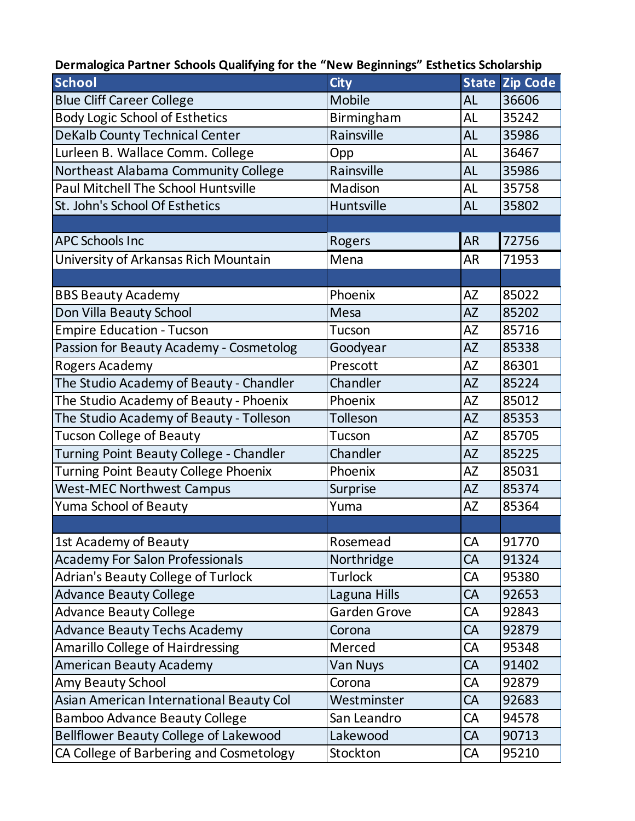| Dermalogica Partner Schools Qualifying for the "New Beginnings" Esthetics Scholarship |                     |           |                       |
|---------------------------------------------------------------------------------------|---------------------|-----------|-----------------------|
| <b>School</b>                                                                         | <b>City</b>         |           | <b>State Zip Code</b> |
| <b>Blue Cliff Career College</b>                                                      | <b>Mobile</b>       | <b>AL</b> | 36606                 |
| <b>Body Logic School of Esthetics</b>                                                 | Birmingham          | <b>AL</b> | 35242                 |
| <b>DeKalb County Technical Center</b>                                                 | Rainsville          | <b>AL</b> | 35986                 |
| Lurleen B. Wallace Comm. College                                                      | Opp                 | <b>AL</b> | 36467                 |
| Northeast Alabama Community College                                                   | Rainsville          | <b>AL</b> | 35986                 |
| <b>Paul Mitchell The School Huntsville</b>                                            | Madison             | <b>AL</b> | 35758                 |
| St. John's School Of Esthetics                                                        | Huntsville          | <b>AL</b> | 35802                 |
|                                                                                       |                     |           |                       |
| <b>APC Schools Inc</b>                                                                | Rogers              | <b>AR</b> | 72756                 |
| University of Arkansas Rich Mountain                                                  | Mena                | <b>AR</b> | 71953                 |
|                                                                                       |                     |           |                       |
| <b>BBS Beauty Academy</b>                                                             | Phoenix             | <b>AZ</b> | 85022                 |
| Don Villa Beauty School                                                               | <b>Mesa</b>         | <b>AZ</b> | 85202                 |
| <b>Empire Education - Tucson</b>                                                      | Tucson              | <b>AZ</b> | 85716                 |
| Passion for Beauty Academy - Cosmetolog                                               | Goodyear            | <b>AZ</b> | 85338                 |
| Rogers Academy                                                                        | Prescott            | <b>AZ</b> | 86301                 |
| The Studio Academy of Beauty - Chandler                                               | Chandler            | <b>AZ</b> | 85224                 |
| The Studio Academy of Beauty - Phoenix                                                | Phoenix             | <b>AZ</b> | 85012                 |
| The Studio Academy of Beauty - Tolleson                                               | <b>Tolleson</b>     | <b>AZ</b> | 85353                 |
| <b>Tucson College of Beauty</b>                                                       | Tucson              | <b>AZ</b> | 85705                 |
| Turning Point Beauty College - Chandler                                               | Chandler            | <b>AZ</b> | 85225                 |
| <b>Turning Point Beauty College Phoenix</b>                                           | Phoenix             | <b>AZ</b> | 85031                 |
| <b>West-MEC Northwest Campus</b>                                                      | Surprise            | <b>AZ</b> | 85374                 |
| Yuma School of Beauty                                                                 | Yuma                | AZ        | 85364                 |
|                                                                                       |                     |           |                       |
| 1st Academy of Beauty                                                                 | Rosemead            | <b>CA</b> | 91770                 |
| <b>Academy For Salon Professionals</b>                                                | Northridge          | <b>CA</b> | 91324                 |
| <b>Adrian's Beauty College of Turlock</b>                                             | <b>Turlock</b>      | CA        | 95380                 |
| <b>Advance Beauty College</b>                                                         | Laguna Hills        | <b>CA</b> | 92653                 |
| <b>Advance Beauty College</b>                                                         | <b>Garden Grove</b> | <b>CA</b> | 92843                 |
| <b>Advance Beauty Techs Academy</b>                                                   | Corona              | <b>CA</b> | 92879                 |
| <b>Amarillo College of Hairdressing</b>                                               | Merced              | CA        | 95348                 |
| <b>American Beauty Academy</b>                                                        | Van Nuys            | CA        | 91402                 |
| Amy Beauty School                                                                     | Corona              | CA        | 92879                 |
| Asian American International Beauty Col                                               | Westminster         | <b>CA</b> | 92683                 |
| <b>Bamboo Advance Beauty College</b>                                                  | San Leandro         | <b>CA</b> | 94578                 |
| <b>Bellflower Beauty College of Lakewood</b>                                          | Lakewood            | <b>CA</b> | 90713                 |
| CA College of Barbering and Cosmetology                                               | Stockton            | <b>CA</b> | 95210                 |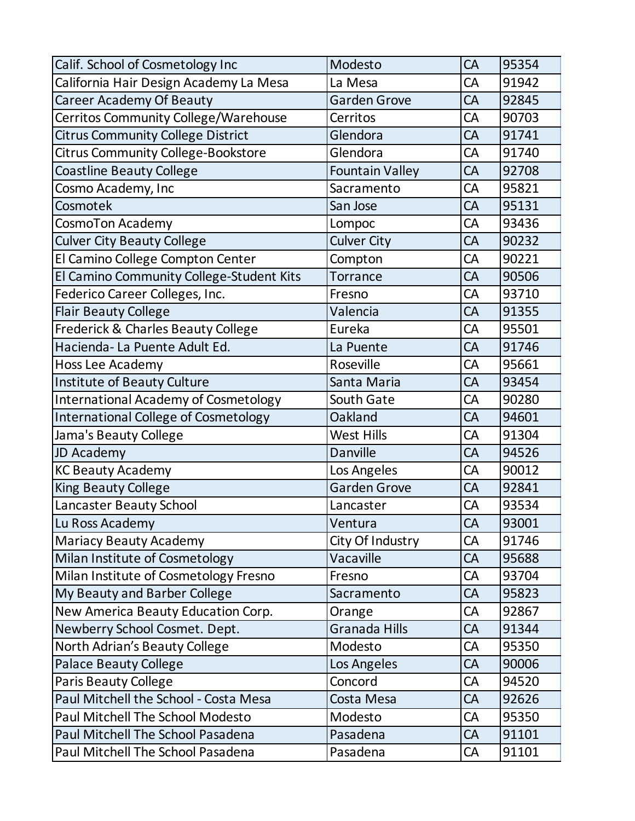| Calif. School of Cosmetology Inc            | Modesto                | CA        | 95354 |
|---------------------------------------------|------------------------|-----------|-------|
| California Hair Design Academy La Mesa      | La Mesa                | CA        | 91942 |
| <b>Career Academy Of Beauty</b>             | <b>Garden Grove</b>    | <b>CA</b> | 92845 |
| Cerritos Community College/Warehouse        | Cerritos               | CA        | 90703 |
| <b>Citrus Community College District</b>    | Glendora               | CA        | 91741 |
| <b>Citrus Community College-Bookstore</b>   | Glendora               | CA        | 91740 |
| <b>Coastline Beauty College</b>             | <b>Fountain Valley</b> | CA        | 92708 |
| Cosmo Academy, Inc                          | Sacramento             | CA        | 95821 |
| Cosmotek                                    | San Jose               | <b>CA</b> | 95131 |
| CosmoTon Academy                            | Lompoc                 | CA        | 93436 |
| <b>Culver City Beauty College</b>           | <b>Culver City</b>     | CA        | 90232 |
| El Camino College Compton Center            | Compton                | CA        | 90221 |
| El Camino Community College-Student Kits    | Torrance               | <b>CA</b> | 90506 |
| Federico Career Colleges, Inc.              | Fresno                 | CA        | 93710 |
| <b>Flair Beauty College</b>                 | Valencia               | <b>CA</b> | 91355 |
| Frederick & Charles Beauty College          | Eureka                 | CA        | 95501 |
| Hacienda-La Puente Adult Ed.                | La Puente              | CA        | 91746 |
| Hoss Lee Academy                            | Roseville              | CA        | 95661 |
| Institute of Beauty Culture                 | Santa Maria            | CA        | 93454 |
| <b>International Academy of Cosmetology</b> | South Gate             | CA        | 90280 |
| <b>International College of Cosmetology</b> | Oakland                | CA        | 94601 |
| Jama's Beauty College                       | <b>West Hills</b>      | CA        | 91304 |
| JD Academy                                  | <b>Danville</b>        | CA        | 94526 |
| <b>KC Beauty Academy</b>                    | Los Angeles            | CA        | 90012 |
| King Beauty College                         | <b>Garden Grove</b>    | <b>CA</b> | 92841 |
| Lancaster Beauty School                     | Lancaster              | CA        | 93534 |
| Lu Ross Academy                             | Ventura                | CA        | 93001 |
| <b>Mariacy Beauty Academy</b>               | City Of Industry       | CA        | 91746 |
| Milan Institute of Cosmetology              | Vacaville              | CA        | 95688 |
| Milan Institute of Cosmetology Fresno       | Fresno                 | CA        | 93704 |
| My Beauty and Barber College                | Sacramento             | <b>CA</b> | 95823 |
| New America Beauty Education Corp.          | Orange                 | <b>CA</b> | 92867 |
| Newberry School Cosmet. Dept.               | Granada Hills          | <b>CA</b> | 91344 |
| North Adrian's Beauty College               | Modesto                | CA        | 95350 |
| <b>Palace Beauty College</b>                | Los Angeles            | CA        | 90006 |
| <b>Paris Beauty College</b>                 | Concord                | <b>CA</b> | 94520 |
| Paul Mitchell the School - Costa Mesa       | Costa Mesa             | CA        | 92626 |
| Paul Mitchell The School Modesto            | Modesto                | CA        | 95350 |
| Paul Mitchell The School Pasadena           | Pasadena               | <b>CA</b> | 91101 |
| Paul Mitchell The School Pasadena           | Pasadena               | CA        | 91101 |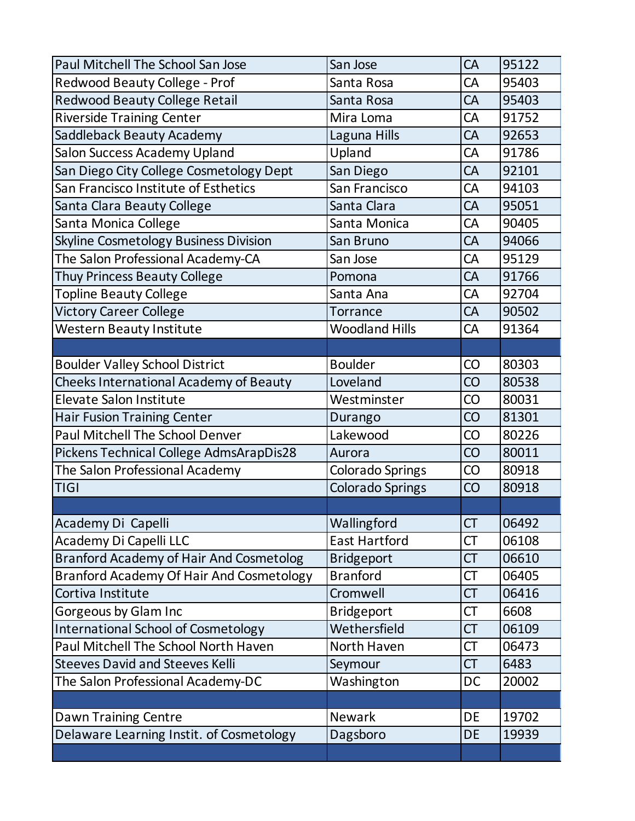| Paul Mitchell The School San Jose              | San Jose                | CA        | 95122 |
|------------------------------------------------|-------------------------|-----------|-------|
| Redwood Beauty College - Prof                  | Santa Rosa              | CA        | 95403 |
| <b>Redwood Beauty College Retail</b>           | Santa Rosa              | <b>CA</b> | 95403 |
| <b>Riverside Training Center</b>               | Mira Loma               | CA        | 91752 |
| Saddleback Beauty Academy                      | Laguna Hills            | CA        | 92653 |
| Salon Success Academy Upland                   | Upland                  | CA        | 91786 |
| San Diego City College Cosmetology Dept        | San Diego               | CA        | 92101 |
| San Francisco Institute of Esthetics           | San Francisco           | CA        | 94103 |
| Santa Clara Beauty College                     | Santa Clara             | <b>CA</b> | 95051 |
| Santa Monica College                           | Santa Monica            | CA        | 90405 |
| <b>Skyline Cosmetology Business Division</b>   | San Bruno               | CA        | 94066 |
| The Salon Professional Academy-CA              | San Jose                | CA        | 95129 |
| <b>Thuy Princess Beauty College</b>            | Pomona                  | CA        | 91766 |
| <b>Topline Beauty College</b>                  | Santa Ana               | CA        | 92704 |
| <b>Victory Career College</b>                  | Torrance                | <b>CA</b> | 90502 |
| <b>Western Beauty Institute</b>                | <b>Woodland Hills</b>   | CA        | 91364 |
|                                                |                         |           |       |
| <b>Boulder Valley School District</b>          | <b>Boulder</b>          | CO        | 80303 |
| Cheeks International Academy of Beauty         | Loveland                | CO        | 80538 |
| Elevate Salon Institute                        | Westminster             | CO        | 80031 |
| <b>Hair Fusion Training Center</b>             | Durango                 | CO        | 81301 |
| <b>Paul Mitchell The School Denver</b>         | Lakewood                | CO        | 80226 |
| Pickens Technical College AdmsArapDis28        | Aurora                  | CO        | 80011 |
| The Salon Professional Academy                 | <b>Colorado Springs</b> | CO        | 80918 |
| <b>TIGI</b>                                    | <b>Colorado Springs</b> | CO        | 80918 |
|                                                |                         |           |       |
| Academy Di Capelli                             | Wallingford             | CT        | 06492 |
| Academy Di Capelli LLC                         | <b>East Hartford</b>    | CT        | 06108 |
| <b>Branford Academy of Hair And Cosmetolog</b> | <b>Bridgeport</b>       | CT        | 06610 |
| Branford Academy Of Hair And Cosmetology       | <b>Branford</b>         | <b>CT</b> | 06405 |
| Cortiva Institute                              | Cromwell                | <b>CT</b> | 06416 |
| Gorgeous by Glam Inc                           | <b>Bridgeport</b>       | <b>CT</b> | 6608  |
| International School of Cosmetology            | Wethersfield            | <b>CT</b> | 06109 |
| Paul Mitchell The School North Haven           | North Haven             | <b>CT</b> | 06473 |
| <b>Steeves David and Steeves Kelli</b>         | Seymour                 | CT        | 6483  |
| The Salon Professional Academy-DC              | Washington              | DC        | 20002 |
|                                                |                         |           |       |
| <b>Dawn Training Centre</b>                    | <b>Newark</b>           | DE        | 19702 |
| Delaware Learning Instit. of Cosmetology       | Dagsboro                | <b>DE</b> | 19939 |
|                                                |                         |           |       |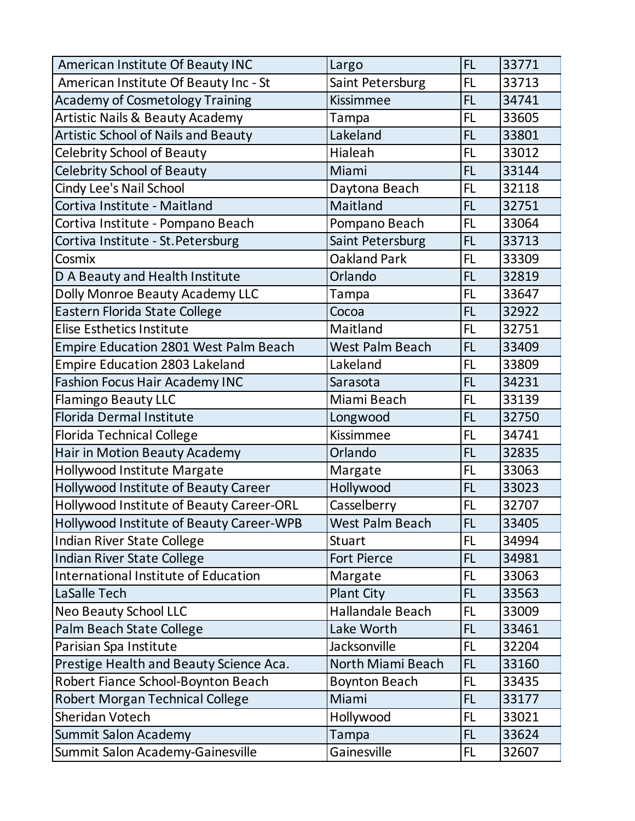| American Institute Of Beauty INC            | Largo                   | <b>FL</b> | 33771 |
|---------------------------------------------|-------------------------|-----------|-------|
| American Institute Of Beauty Inc - St       | Saint Petersburg        | <b>FL</b> | 33713 |
| <b>Academy of Cosmetology Training</b>      | <b>Kissimmee</b>        | <b>FL</b> | 34741 |
| <b>Artistic Nails &amp; Beauty Academy</b>  | Tampa                   | <b>FL</b> | 33605 |
| Artistic School of Nails and Beauty         | Lakeland                | <b>FL</b> | 33801 |
| <b>Celebrity School of Beauty</b>           | Hialeah                 | FL        | 33012 |
| <b>Celebrity School of Beauty</b>           | Miami                   | <b>FL</b> | 33144 |
| Cindy Lee's Nail School                     | Daytona Beach           | <b>FL</b> | 32118 |
| Cortiva Institute - Maitland                | Maitland                | FL        | 32751 |
| Cortiva Institute - Pompano Beach           | Pompano Beach           | <b>FL</b> | 33064 |
| Cortiva Institute - St. Petersburg          | Saint Petersburg        | <b>FL</b> | 33713 |
| Cosmix                                      | <b>Oakland Park</b>     | FL        | 33309 |
| D A Beauty and Health Institute             | Orlando                 | <b>FL</b> | 32819 |
| Dolly Monroe Beauty Academy LLC             | Tampa                   | <b>FL</b> | 33647 |
| Eastern Florida State College               | Cocoa                   | FL        | 32922 |
| <b>Elise Esthetics Institute</b>            | Maitland                | <b>FL</b> | 32751 |
| Empire Education 2801 West Palm Beach       | <b>West Palm Beach</b>  | <b>FL</b> | 33409 |
| <b>Empire Education 2803 Lakeland</b>       | Lakeland                | FL        | 33809 |
| <b>Fashion Focus Hair Academy INC</b>       | Sarasota                | <b>FL</b> | 34231 |
| <b>Flamingo Beauty LLC</b>                  | Miami Beach             | FL        | 33139 |
| Florida Dermal Institute                    | Longwood                | FL        | 32750 |
| <b>Florida Technical College</b>            | Kissimmee               | <b>FL</b> | 34741 |
| Hair in Motion Beauty Academy               | Orlando                 | <b>FL</b> | 32835 |
| <b>Hollywood Institute Margate</b>          | Margate                 | FL        | 33063 |
| Hollywood Institute of Beauty Career        | Hollywood               | <b>FL</b> | 33023 |
| Hollywood Institute of Beauty Career-ORL    | Casselberry             | <b>FL</b> | 32707 |
| Hollywood Institute of Beauty Career-WPB    | <b>West Palm Beach</b>  | FL        | 33405 |
| Indian River State College                  | <b>Stuart</b>           | FL        | 34994 |
| Indian River State College                  | <b>Fort Pierce</b>      | FL        | 34981 |
| <b>International Institute of Education</b> | Margate                 | FL        | 33063 |
| LaSalle Tech                                | <b>Plant City</b>       | <b>FL</b> | 33563 |
| <b>Neo Beauty School LLC</b>                | <b>Hallandale Beach</b> | <b>FL</b> | 33009 |
| Palm Beach State College                    | Lake Worth              | FL        | 33461 |
| Parisian Spa Institute                      | Jacksonville            | FL        | 32204 |
| Prestige Health and Beauty Science Aca.     | North Miami Beach       | <b>FL</b> | 33160 |
| Robert Fiance School-Boynton Beach          | <b>Boynton Beach</b>    | FL        | 33435 |
| <b>Robert Morgan Technical College</b>      | Miami                   | <b>FL</b> | 33177 |
| Sheridan Votech                             | Hollywood               | FL        | 33021 |
| Summit Salon Academy                        | Tampa                   | FL        | 33624 |
| Summit Salon Academy-Gainesville            | Gainesville             | FL        | 32607 |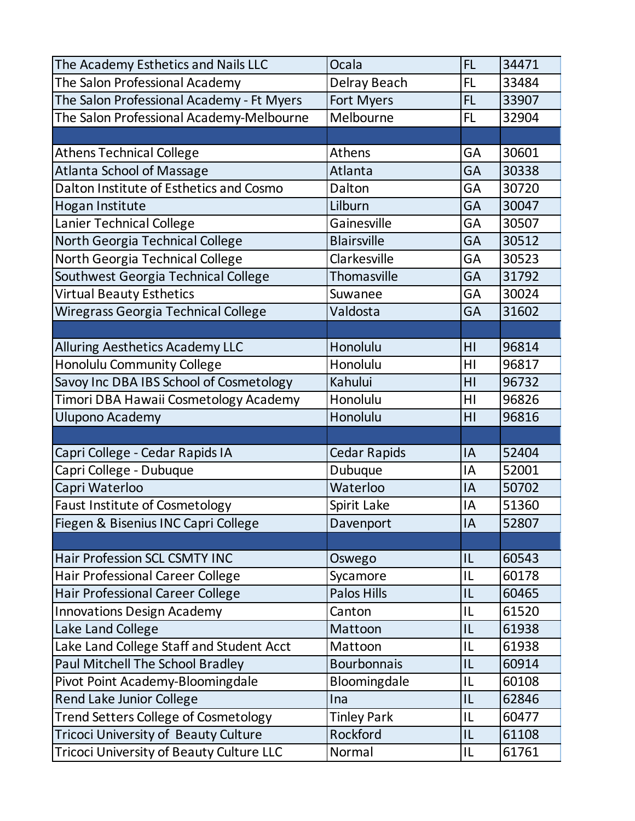| The Academy Esthetics and Nails LLC         | Ocala               | <b>FL</b> | 34471 |
|---------------------------------------------|---------------------|-----------|-------|
| The Salon Professional Academy              | Delray Beach        | <b>FL</b> | 33484 |
| The Salon Professional Academy - Ft Myers   | Fort Myers          | <b>FL</b> | 33907 |
| The Salon Professional Academy-Melbourne    | Melbourne           | <b>FL</b> | 32904 |
|                                             |                     |           |       |
| <b>Athens Technical College</b>             | <b>Athens</b>       | GA        | 30601 |
| <b>Atlanta School of Massage</b>            | Atlanta             | GA        | 30338 |
| Dalton Institute of Esthetics and Cosmo     | Dalton              | GA        | 30720 |
| Hogan Institute                             | Lilburn             | GA        | 30047 |
| Lanier Technical College                    | Gainesville         | GA        | 30507 |
| North Georgia Technical College             | <b>Blairsville</b>  | <b>GA</b> | 30512 |
| North Georgia Technical College             | Clarkesville        | GA        | 30523 |
| Southwest Georgia Technical College         | Thomasville         | GA        | 31792 |
| <b>Virtual Beauty Esthetics</b>             | Suwanee             | GA        | 30024 |
| Wiregrass Georgia Technical College         | Valdosta            | GA        | 31602 |
|                                             |                     |           |       |
| Alluring Aesthetics Academy LLC             | Honolulu            | H1        | 96814 |
| <b>Honolulu Community College</b>           | Honolulu            | H1        | 96817 |
| Savoy Inc DBA IBS School of Cosmetology     | Kahului             | H1        | 96732 |
| Timori DBA Hawaii Cosmetology Academy       | Honolulu            | HI        | 96826 |
| <b>Ulupono Academy</b>                      | Honolulu            | HI        | 96816 |
|                                             |                     |           |       |
| Capri College - Cedar Rapids IA             | <b>Cedar Rapids</b> | IA        | 52404 |
| Capri College - Dubuque                     | Dubuque             | IA        | 52001 |
| Capri Waterloo                              | Waterloo            | IA        | 50702 |
| Faust Institute of Cosmetology              | Spirit Lake         | IA        | 51360 |
| Fiegen & Bisenius INC Capri College         | Davenport           | IA        | 52807 |
|                                             |                     |           |       |
| <b>Hair Profession SCL CSMTY INC</b>        | Oswego              | L         | 60543 |
| Hair Professional Career College            | Sycamore            | IL        | 60178 |
| Hair Professional Career College            | <b>Palos Hills</b>  | IL        | 60465 |
| <b>Innovations Design Academy</b>           | Canton              | IL        | 61520 |
| Lake Land College                           | Mattoon             | IL        | 61938 |
| Lake Land College Staff and Student Acct    | Mattoon             | L         | 61938 |
| Paul Mitchell The School Bradley            | <b>Bourbonnais</b>  | L         | 60914 |
| Pivot Point Academy-Bloomingdale            | Bloomingdale        | IL        | 60108 |
| Rend Lake Junior College                    | Ina                 | IL        | 62846 |
| <b>Trend Setters College of Cosmetology</b> | <b>Tinley Park</b>  | IL        | 60477 |
| Tricoci University of Beauty Culture        | Rockford            | IL        | 61108 |
| Tricoci University of Beauty Culture LLC    | Normal              | L         | 61761 |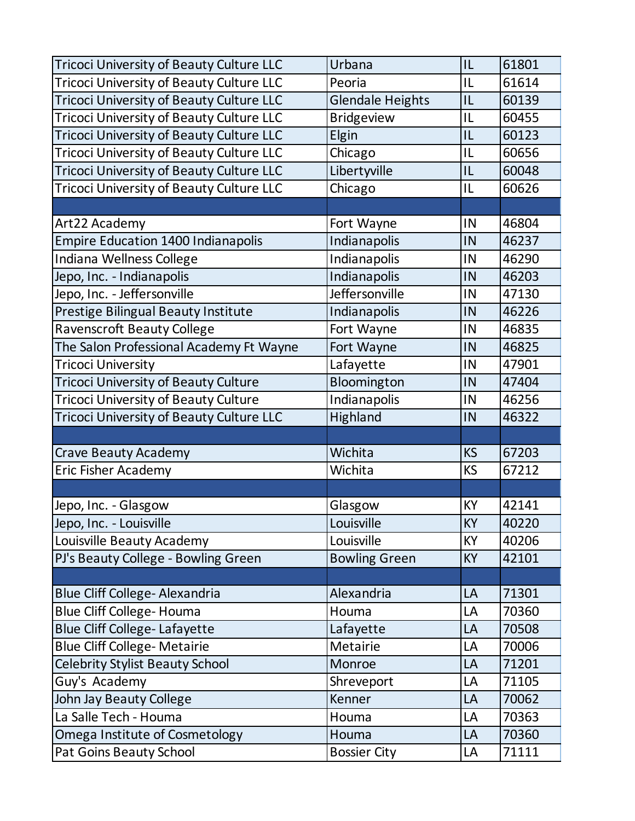| Tricoci University of Beauty Culture LLC    | Urbana                  | IL        | 61801 |
|---------------------------------------------|-------------------------|-----------|-------|
| Tricoci University of Beauty Culture LLC    | Peoria                  | IL        | 61614 |
| Tricoci University of Beauty Culture LLC    | <b>Glendale Heights</b> | IL        | 60139 |
| Tricoci University of Beauty Culture LLC    | <b>Bridgeview</b>       | L         | 60455 |
| Tricoci University of Beauty Culture LLC    | Elgin                   | IL        | 60123 |
| Tricoci University of Beauty Culture LLC    | Chicago                 | IL        | 60656 |
| Tricoci University of Beauty Culture LLC    | Libertyville            | IL        | 60048 |
| Tricoci University of Beauty Culture LLC    | Chicago                 | IL        | 60626 |
|                                             |                         |           |       |
| Art22 Academy                               | Fort Wayne              | IN        | 46804 |
| <b>Empire Education 1400 Indianapolis</b>   | Indianapolis            | IN        | 46237 |
| Indiana Wellness College                    | Indianapolis            | IN        | 46290 |
| Jepo, Inc. - Indianapolis                   | Indianapolis            | IN        | 46203 |
| Jepo, Inc. - Jeffersonville                 | Jeffersonville          | IN        | 47130 |
| Prestige Bilingual Beauty Institute         | Indianapolis            | IN        | 46226 |
| <b>Ravenscroft Beauty College</b>           | Fort Wayne              | IN        | 46835 |
| The Salon Professional Academy Ft Wayne     | Fort Wayne              | IN        | 46825 |
| <b>Tricoci University</b>                   | Lafayette               | IN        | 47901 |
| Tricoci University of Beauty Culture        | Bloomington             | IN        | 47404 |
| <b>Tricoci University of Beauty Culture</b> | Indianapolis            | IN        | 46256 |
| Tricoci University of Beauty Culture LLC    | Highland                | IN        | 46322 |
|                                             |                         |           |       |
| <b>Crave Beauty Academy</b>                 | Wichita                 | <b>KS</b> | 67203 |
| <b>Eric Fisher Academy</b>                  | Wichita                 | KS        | 67212 |
|                                             |                         |           |       |
| Jepo, Inc. - Glasgow                        | Glasgow                 | KY        | 42141 |
| Jepo, Inc. - Louisville                     | Louisville              | KY        | 40220 |
| Louisville Beauty Academy                   | Louisville              | <b>KY</b> | 40206 |
| PJ's Beauty College - Bowling Green         | <b>Bowling Green</b>    | <b>KY</b> | 42101 |
|                                             |                         |           |       |
| Blue Cliff College- Alexandria              | Alexandria              | LA        | 71301 |
| <b>Blue Cliff College- Houma</b>            | Houma                   | LA        | 70360 |
| <b>Blue Cliff College-Lafayette</b>         | Lafayette               | LA        | 70508 |
| <b>Blue Cliff College- Metairie</b>         | Metairie                | LA        | 70006 |
| <b>Celebrity Stylist Beauty School</b>      | Monroe                  | LA        | 71201 |
| Guy's Academy                               | Shreveport              | LA        | 71105 |
| John Jay Beauty College                     | Kenner                  | LA        | 70062 |
| La Salle Tech - Houma                       | Houma                   | LA        | 70363 |
| Omega Institute of Cosmetology              | Houma                   | LA        | 70360 |
| Pat Goins Beauty School                     | <b>Bossier City</b>     | LA        | 71111 |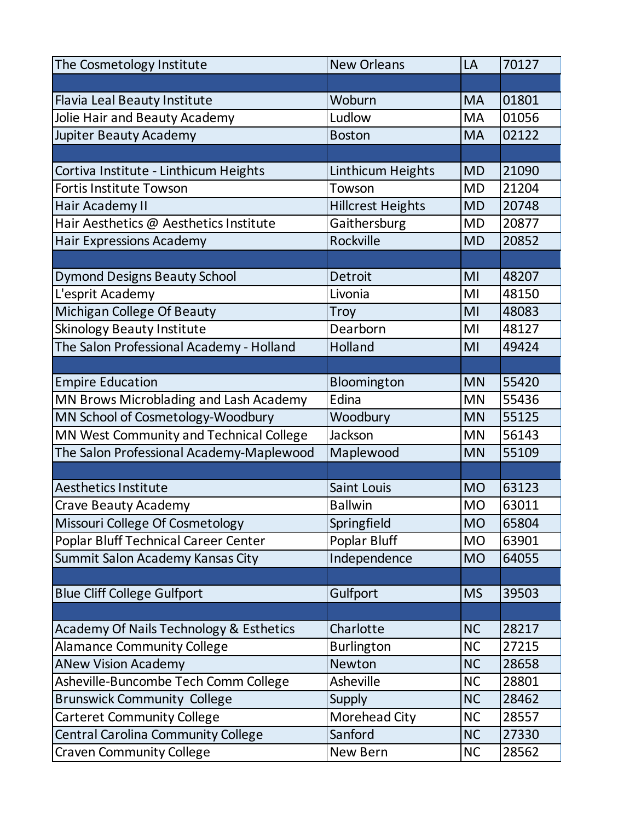| The Cosmetology Institute                 | <b>New Orleans</b>       | LA        | 70127 |
|-------------------------------------------|--------------------------|-----------|-------|
|                                           |                          |           |       |
| Flavia Leal Beauty Institute              | Woburn                   | <b>MA</b> | 01801 |
| Jolie Hair and Beauty Academy             | Ludlow                   | <b>MA</b> | 01056 |
| <b>Jupiter Beauty Academy</b>             | <b>Boston</b>            | <b>MA</b> | 02122 |
|                                           |                          |           |       |
| Cortiva Institute - Linthicum Heights     | Linthicum Heights        | <b>MD</b> | 21090 |
| <b>Fortis Institute Towson</b>            | Towson                   | <b>MD</b> | 21204 |
| Hair Academy II                           | <b>Hillcrest Heights</b> | <b>MD</b> | 20748 |
| Hair Aesthetics @ Aesthetics Institute    | Gaithersburg             | <b>MD</b> | 20877 |
| <b>Hair Expressions Academy</b>           | Rockville                | <b>MD</b> | 20852 |
|                                           |                          |           |       |
| <b>Dymond Designs Beauty School</b>       | Detroit                  | MI        | 48207 |
| L'esprit Academy                          | Livonia                  | MI        | 48150 |
| Michigan College Of Beauty                | Troy                     | MI        | 48083 |
| <b>Skinology Beauty Institute</b>         | Dearborn                 | MI        | 48127 |
| The Salon Professional Academy - Holland  | Holland                  | MI        | 49424 |
|                                           |                          |           |       |
| <b>Empire Education</b>                   | Bloomington              | <b>MN</b> | 55420 |
| MN Brows Microblading and Lash Academy    | Edina                    | <b>MN</b> | 55436 |
| MN School of Cosmetology-Woodbury         | Woodbury                 | <b>MN</b> | 55125 |
| MN West Community and Technical College   | Jackson                  | <b>MN</b> | 56143 |
| The Salon Professional Academy-Maplewood  | Maplewood                | <b>MN</b> | 55109 |
|                                           |                          |           |       |
| <b>Aesthetics Institute</b>               | Saint Louis              | <b>MO</b> | 63123 |
| Crave Beauty Academy                      | <b>Ballwin</b>           | <b>MO</b> | 63011 |
| Missouri College Of Cosmetology           | Springfield              | <b>MO</b> | 65804 |
| Poplar Bluff Technical Career Center      | Poplar Bluff             | <b>MO</b> | 63901 |
| Summit Salon Academy Kansas City          | Independence             | <b>MO</b> | 64055 |
|                                           |                          |           |       |
| <b>Blue Cliff College Gulfport</b>        | Gulfport                 | <b>MS</b> | 39503 |
|                                           |                          |           |       |
| Academy Of Nails Technology & Esthetics   | Charlotte                | <b>NC</b> | 28217 |
| <b>Alamance Community College</b>         | <b>Burlington</b>        | <b>NC</b> | 27215 |
| <b>ANew Vision Academy</b>                | Newton                   | <b>NC</b> | 28658 |
| Asheville-Buncombe Tech Comm College      | Asheville                | <b>NC</b> | 28801 |
| <b>Brunswick Community College</b>        | <b>Supply</b>            | <b>NC</b> | 28462 |
| <b>Carteret Community College</b>         | Morehead City            | <b>NC</b> | 28557 |
| <b>Central Carolina Community College</b> | Sanford                  | <b>NC</b> | 27330 |
| <b>Craven Community College</b>           | New Bern                 | <b>NC</b> | 28562 |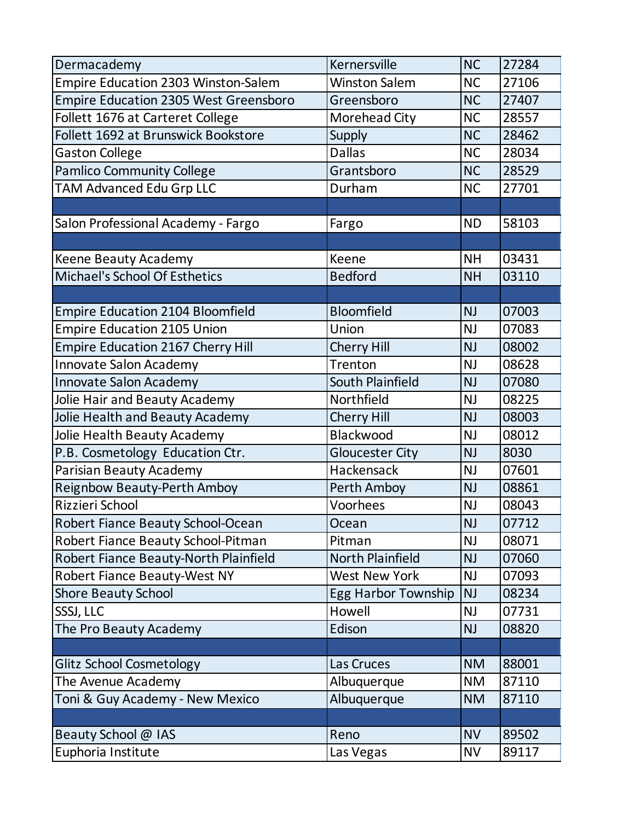| Dermacademy                                | Kernersville            | <b>NC</b> | 27284 |
|--------------------------------------------|-------------------------|-----------|-------|
| <b>Empire Education 2303 Winston-Salem</b> | <b>Winston Salem</b>    | <b>NC</b> | 27106 |
| Empire Education 2305 West Greensboro      | Greensboro              | <b>NC</b> | 27407 |
| Follett 1676 at Carteret College           | Morehead City           | <b>NC</b> | 28557 |
| Follett 1692 at Brunswick Bookstore        | <b>Supply</b>           | <b>NC</b> | 28462 |
| <b>Gaston College</b>                      | <b>Dallas</b>           | <b>NC</b> | 28034 |
| <b>Pamlico Community College</b>           | Grantsboro              | <b>NC</b> | 28529 |
| <b>TAM Advanced Edu Grp LLC</b>            | Durham                  | <b>NC</b> | 27701 |
|                                            |                         |           |       |
| Salon Professional Academy - Fargo         | Fargo                   | <b>ND</b> | 58103 |
|                                            |                         |           |       |
| <b>Keene Beauty Academy</b>                | Keene                   | <b>NH</b> | 03431 |
| Michael's School Of Esthetics              | <b>Bedford</b>          | <b>NH</b> | 03110 |
|                                            |                         |           |       |
| <b>Empire Education 2104 Bloomfield</b>    | <b>Bloomfield</b>       | <b>NJ</b> | 07003 |
| <b>Empire Education 2105 Union</b>         | Union                   | <b>NJ</b> | 07083 |
| <b>Empire Education 2167 Cherry Hill</b>   | <b>Cherry Hill</b>      | <b>NJ</b> | 08002 |
| Innovate Salon Academy                     | Trenton                 | <b>NJ</b> | 08628 |
| Innovate Salon Academy                     | <b>South Plainfield</b> | <b>NJ</b> | 07080 |
| Jolie Hair and Beauty Academy              | Northfield              | <b>NJ</b> | 08225 |
| Jolie Health and Beauty Academy            | <b>Cherry Hill</b>      | <b>NJ</b> | 08003 |
| Jolie Health Beauty Academy                | <b>Blackwood</b>        | <b>NJ</b> | 08012 |
| P.B. Cosmetology Education Ctr.            | <b>Gloucester City</b>  | <b>NJ</b> | 8030  |
| Parisian Beauty Academy                    | Hackensack              | <b>NJ</b> | 07601 |
| <b>Reignbow Beauty-Perth Amboy</b>         | Perth Amboy             | <b>NJ</b> | 08861 |
| Rizzieri School                            | Voorhees                | <b>NJ</b> | 08043 |
| Robert Fiance Beauty School-Ocean          | Ocean                   | <b>NJ</b> | 07712 |
| Robert Fiance Beauty School-Pitman         | Pitman                  | <b>NJ</b> | 08071 |
| Robert Fiance Beauty-North Plainfield      | <b>North Plainfield</b> | <b>NJ</b> | 07060 |
| Robert Fiance Beauty-West NY               | <b>West New York</b>    | <b>NJ</b> | 07093 |
| <b>Shore Beauty School</b>                 | Egg Harbor Township     | <b>NJ</b> | 08234 |
| SSSJ, LLC                                  | Howell                  | <b>NJ</b> | 07731 |
| The Pro Beauty Academy                     | Edison                  | <b>NJ</b> | 08820 |
|                                            |                         |           |       |
| <b>Glitz School Cosmetology</b>            | Las Cruces              | <b>NM</b> | 88001 |
| The Avenue Academy                         | Albuquerque             | <b>NM</b> | 87110 |
| Toni & Guy Academy - New Mexico            | Albuquerque             | <b>NM</b> | 87110 |
|                                            |                         |           |       |
| Beauty School @ IAS                        | Reno                    | <b>NV</b> | 89502 |
| Euphoria Institute                         | Las Vegas               | <b>NV</b> | 89117 |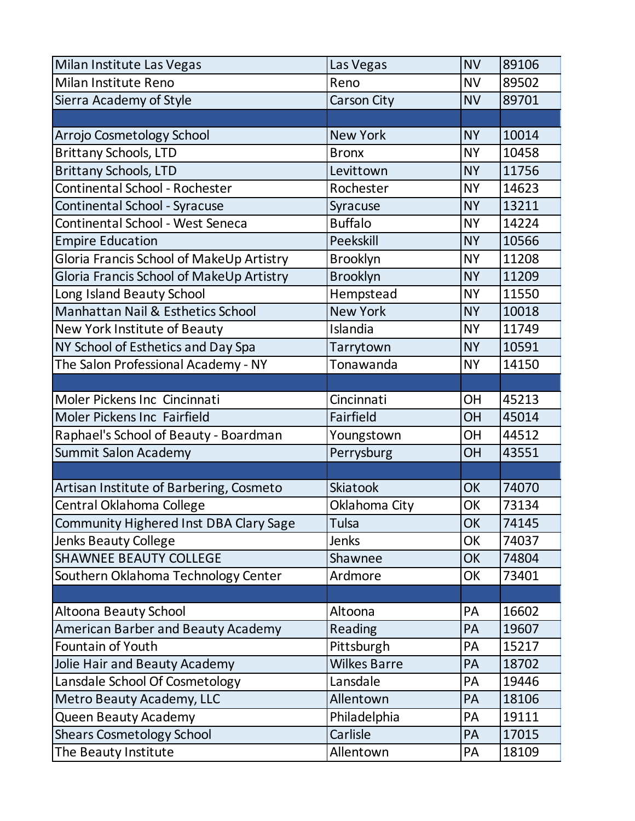| Milan Institute Las Vegas                    | Las Vegas           | <b>NV</b>       | 89106 |
|----------------------------------------------|---------------------|-----------------|-------|
| Milan Institute Reno                         | Reno                | <b>NV</b>       | 89502 |
| Sierra Academy of Style                      | Carson City         | <b>NV</b>       | 89701 |
|                                              |                     |                 |       |
| Arrojo Cosmetology School                    | <b>New York</b>     | <b>NY</b>       | 10014 |
| <b>Brittany Schools, LTD</b>                 | <b>Bronx</b>        | <b>NY</b>       | 10458 |
| <b>Brittany Schools, LTD</b>                 | Levittown           | <b>NY</b>       | 11756 |
| <b>Continental School - Rochester</b>        | Rochester           | <b>NY</b>       | 14623 |
| Continental School - Syracuse                | Syracuse            | <b>NY</b>       | 13211 |
| <b>Continental School - West Seneca</b>      | <b>Buffalo</b>      | <b>NY</b>       | 14224 |
| <b>Empire Education</b>                      | Peekskill           | <b>NY</b>       | 10566 |
| Gloria Francis School of MakeUp Artistry     | <b>Brooklyn</b>     | <b>NY</b>       | 11208 |
| Gloria Francis School of MakeUp Artistry     | <b>Brooklyn</b>     | <b>NY</b>       | 11209 |
| Long Island Beauty School                    | Hempstead           | <b>NY</b>       | 11550 |
| <b>Manhattan Nail &amp; Esthetics School</b> | <b>New York</b>     | <b>NY</b>       | 10018 |
| New York Institute of Beauty                 | Islandia            | <b>NY</b>       | 11749 |
| NY School of Esthetics and Day Spa           | Tarrytown           | <b>NY</b>       | 10591 |
| The Salon Professional Academy - NY          | Tonawanda           | <b>NY</b>       | 14150 |
|                                              |                     |                 |       |
| Moler Pickens Inc Cincinnati                 | Cincinnati          | OH              | 45213 |
| Moler Pickens Inc Fairfield                  | Fairfield           | OH              | 45014 |
| Raphael's School of Beauty - Boardman        | Youngstown          | OH              | 44512 |
| Summit Salon Academy                         | Perrysburg          | <b>OH</b>       | 43551 |
|                                              |                     |                 |       |
| Artisan Institute of Barbering, Cosmeto      | Skiatook            | OK              | 74070 |
| Central Oklahoma College                     | Oklahoma City       | OK              | 73134 |
| Community Highered Inst DBA Clary Sage       | <b>Tulsa</b>        | $\overline{OK}$ | 74145 |
| Jenks Beauty College                         | Jenks               | OK              | 74037 |
| <b>SHAWNEE BEAUTY COLLEGE</b>                | Shawnee             | OK              | 74804 |
| Southern Oklahoma Technology Center          | Ardmore             | OK              | 73401 |
|                                              |                     |                 |       |
| Altoona Beauty School                        | Altoona             | PA              | 16602 |
| American Barber and Beauty Academy           | Reading             | PA              | 19607 |
| <b>Fountain of Youth</b>                     | Pittsburgh          | PA              | 15217 |
| Jolie Hair and Beauty Academy                | <b>Wilkes Barre</b> | PA              | 18702 |
| Lansdale School Of Cosmetology               | Lansdale            | PA              | 19446 |
| Metro Beauty Academy, LLC                    | Allentown           | PA              | 18106 |
| <b>Queen Beauty Academy</b>                  | Philadelphia        | PA              | 19111 |
| <b>Shears Cosmetology School</b>             | Carlisle            | PA              | 17015 |
| The Beauty Institute                         | Allentown           | PA              | 18109 |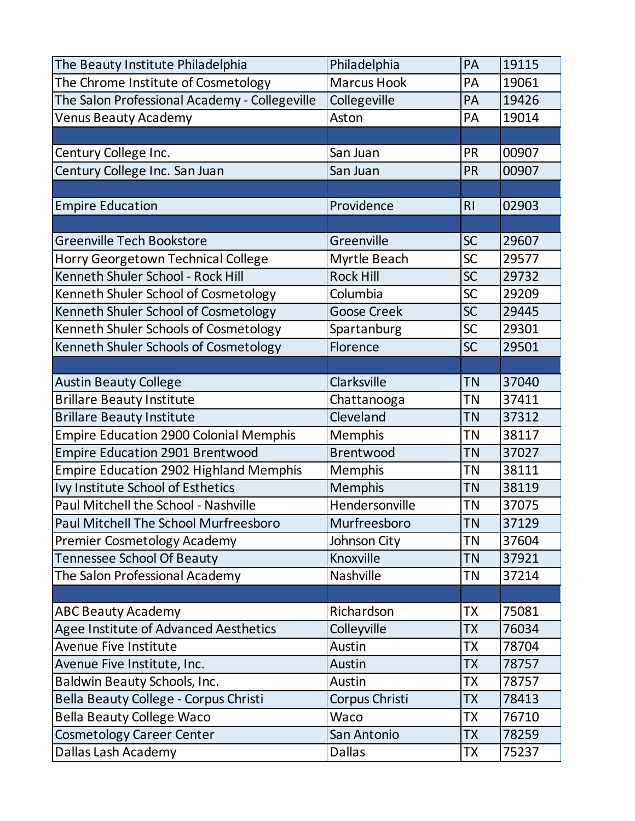| The Beauty Institute Philadelphia             | Philadelphia       | PA             | 19115 |
|-----------------------------------------------|--------------------|----------------|-------|
| The Chrome Institute of Cosmetology           | <b>Marcus Hook</b> | PA             | 19061 |
| The Salon Professional Academy - Collegeville | Collegeville       | PA             | 19426 |
| <b>Venus Beauty Academy</b>                   | Aston              | PA             | 19014 |
|                                               |                    |                |       |
| Century College Inc.                          | San Juan           | <b>PR</b>      | 00907 |
| Century College Inc. San Juan                 | San Juan           | <b>PR</b>      | 00907 |
|                                               |                    |                |       |
| <b>Empire Education</b>                       | Providence         | R <sub>l</sub> | 02903 |
|                                               |                    |                |       |
| <b>Greenville Tech Bookstore</b>              | Greenville         | <b>SC</b>      | 29607 |
| Horry Georgetown Technical College            | Myrtle Beach       | <b>SC</b>      | 29577 |
| Kenneth Shuler School - Rock Hill             | <b>Rock Hill</b>   | <b>SC</b>      | 29732 |
| Kenneth Shuler School of Cosmetology          | Columbia           | <b>SC</b>      | 29209 |
| Kenneth Shuler School of Cosmetology          | <b>Goose Creek</b> | <b>SC</b>      | 29445 |
| Kenneth Shuler Schools of Cosmetology         | Spartanburg        | SC             | 29301 |
| Kenneth Shuler Schools of Cosmetology         | Florence           | SC             | 29501 |
|                                               |                    |                |       |
| <b>Austin Beauty College</b>                  | Clarksville        | <b>TN</b>      | 37040 |
| <b>Brillare Beauty Institute</b>              | Chattanooga        | <b>TN</b>      | 37411 |
| <b>Brillare Beauty Institute</b>              | Cleveland          | <b>TN</b>      | 37312 |
| <b>Empire Education 2900 Colonial Memphis</b> | <b>Memphis</b>     | <b>TN</b>      | 38117 |
| <b>Empire Education 2901 Brentwood</b>        | <b>Brentwood</b>   | <b>TN</b>      | 37027 |
| <b>Empire Education 2902 Highland Memphis</b> | <b>Memphis</b>     | <b>TN</b>      | 38111 |
| Ivy Institute School of Esthetics             | <b>Memphis</b>     | <b>TN</b>      | 38119 |
| Paul Mitchell the School - Nashville          | Hendersonville     | <b>TN</b>      | 37075 |
| Paul Mitchell The School Murfreesboro         | Murfreesboro       | <b>TN</b>      | 37129 |
| <b>Premier Cosmetology Academy</b>            | Johnson City       | <b>TN</b>      | 37604 |
| <b>Tennessee School Of Beauty</b>             | Knoxville          | <b>TN</b>      | 37921 |
| The Salon Professional Academy                | Nashville          | <b>TN</b>      | 37214 |
|                                               |                    |                |       |
| <b>ABC Beauty Academy</b>                     | Richardson         | <b>TX</b>      | 75081 |
| Agee Institute of Advanced Aesthetics         | Colleyville        | <b>TX</b>      | 76034 |
| <b>Avenue Five Institute</b>                  | Austin             | <b>TX</b>      | 78704 |
| Avenue Five Institute, Inc.                   | <b>Austin</b>      | <b>TX</b>      | 78757 |
| Baldwin Beauty Schools, Inc.                  | Austin             | <b>TX</b>      | 78757 |
| Bella Beauty College - Corpus Christi         | Corpus Christi     | <b>TX</b>      | 78413 |
| <b>Bella Beauty College Waco</b>              | Waco               | <b>TX</b>      | 76710 |
| <b>Cosmetology Career Center</b>              | San Antonio        | <b>TX</b>      | 78259 |
| Dallas Lash Academy                           | <b>Dallas</b>      | <b>TX</b>      | 75237 |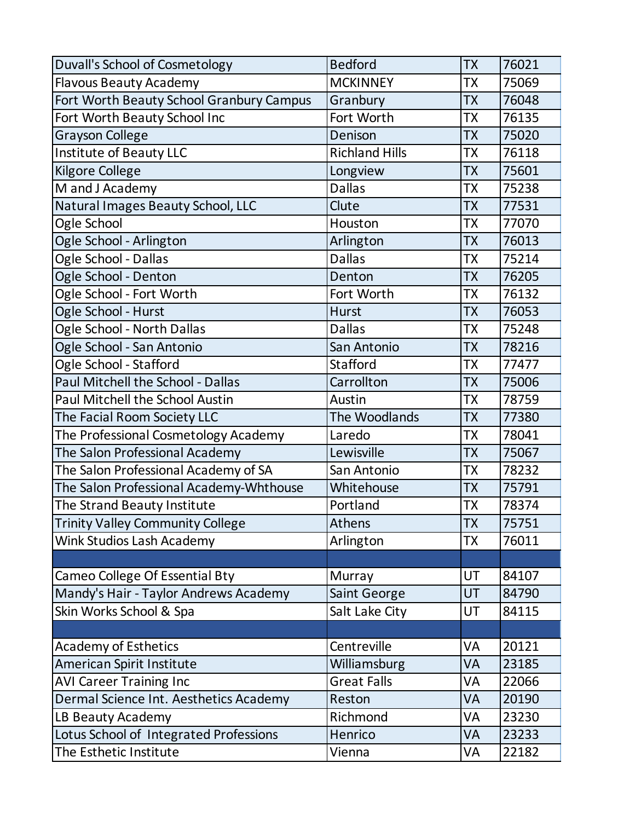| <b>Duvall's School of Cosmetology</b>    | <b>Bedford</b>        | <b>TX</b> | 76021 |
|------------------------------------------|-----------------------|-----------|-------|
| <b>Flavous Beauty Academy</b>            | <b>MCKINNEY</b>       | <b>TX</b> | 75069 |
| Fort Worth Beauty School Granbury Campus | Granbury              | <b>TX</b> | 76048 |
| Fort Worth Beauty School Inc             | Fort Worth            | <b>TX</b> | 76135 |
| <b>Grayson College</b>                   | Denison               | <b>TX</b> | 75020 |
| Institute of Beauty LLC                  | <b>Richland Hills</b> | <b>TX</b> | 76118 |
| Kilgore College                          | Longview              | <b>TX</b> | 75601 |
| M and J Academy                          | <b>Dallas</b>         | <b>TX</b> | 75238 |
| Natural Images Beauty School, LLC        | Clute                 | <b>TX</b> | 77531 |
| Ogle School                              | Houston               | <b>TX</b> | 77070 |
| Ogle School - Arlington                  | Arlington             | <b>TX</b> | 76013 |
| Ogle School - Dallas                     | <b>Dallas</b>         | <b>TX</b> | 75214 |
| Ogle School - Denton                     | Denton                | <b>TX</b> | 76205 |
| Ogle School - Fort Worth                 | Fort Worth            | <b>TX</b> | 76132 |
| Ogle School - Hurst                      | <b>Hurst</b>          | <b>TX</b> | 76053 |
| Ogle School - North Dallas               | <b>Dallas</b>         | <b>TX</b> | 75248 |
| Ogle School - San Antonio                | San Antonio           | <b>TX</b> | 78216 |
| Ogle School - Stafford                   | Stafford              | <b>TX</b> | 77477 |
| Paul Mitchell the School - Dallas        | Carrollton            | <b>TX</b> | 75006 |
| <b>Paul Mitchell the School Austin</b>   | Austin                | <b>TX</b> | 78759 |
| The Facial Room Society LLC              | The Woodlands         | <b>TX</b> | 77380 |
| The Professional Cosmetology Academy     | Laredo                | <b>TX</b> | 78041 |
| The Salon Professional Academy           | Lewisville            | <b>TX</b> | 75067 |
| The Salon Professional Academy of SA     | San Antonio           | <b>TX</b> | 78232 |
| The Salon Professional Academy-Whthouse  | Whitehouse            | <b>TX</b> | 75791 |
| The Strand Beauty Institute              | Portland              | TX        | 78374 |
| <b>Trinity Valley Community College</b>  | <b>Athens</b>         | <b>TX</b> | 75751 |
| Wink Studios Lash Academy                | Arlington             | TX        | 76011 |
|                                          |                       |           |       |
| Cameo College Of Essential Bty           | Murray                | UT        | 84107 |
| Mandy's Hair - Taylor Andrews Academy    | Saint George          | UT        | 84790 |
| Skin Works School & Spa                  | Salt Lake City        | UT        | 84115 |
|                                          |                       |           |       |
| <b>Academy of Esthetics</b>              | Centreville           | VA        | 20121 |
| American Spirit Institute                | Williamsburg          | VA        | 23185 |
| <b>AVI Career Training Inc</b>           | <b>Great Falls</b>    | VA        | 22066 |
| Dermal Science Int. Aesthetics Academy   | Reston                | VA        | 20190 |
| LB Beauty Academy                        | Richmond              | VA        | 23230 |
| Lotus School of Integrated Professions   | <b>Henrico</b>        | <b>VA</b> | 23233 |
| The Esthetic Institute                   | Vienna                | VA        | 22182 |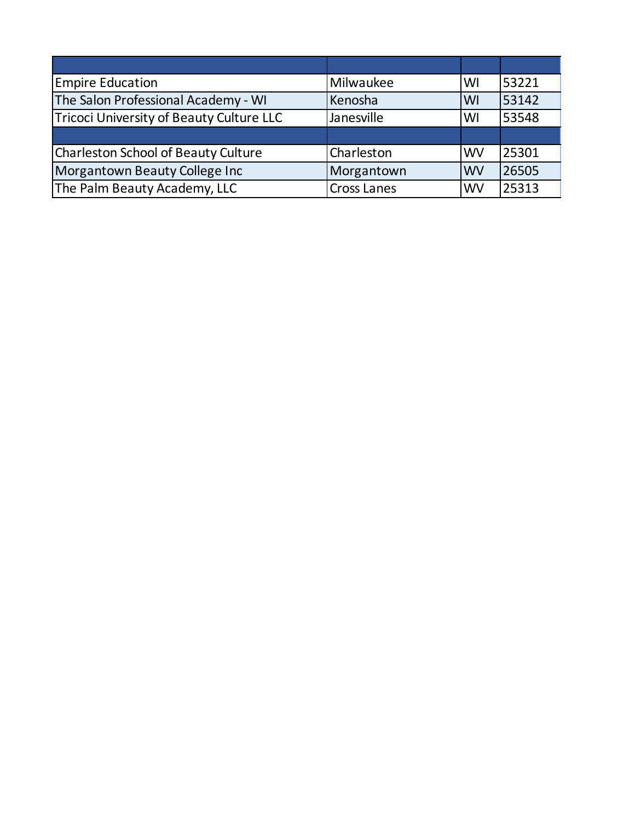| <b>Empire Education</b>                    | Milwaukee          | WI        | 53221 |
|--------------------------------------------|--------------------|-----------|-------|
| The Salon Professional Academy - WI        | Kenosha            | WI        | 53142 |
| Tricoci University of Beauty Culture LLC   | Janesville         | <b>WI</b> | 53548 |
|                                            |                    |           |       |
| <b>Charleston School of Beauty Culture</b> | Charleston         | <b>WV</b> | 25301 |
| Morgantown Beauty College Inc              | Morgantown         | <b>WV</b> | 26505 |
| The Palm Beauty Academy, LLC               | <b>Cross Lanes</b> | <b>WV</b> | 25313 |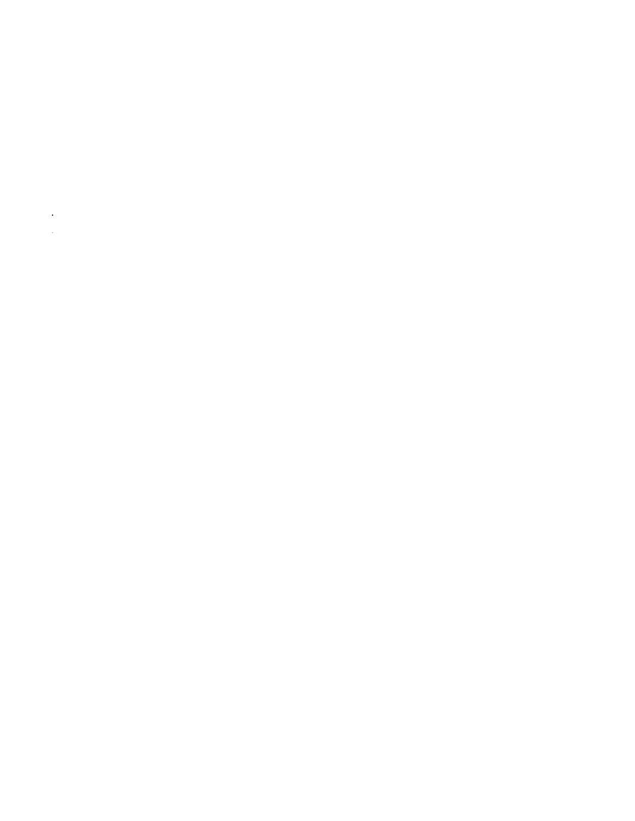$\mathcal{L}_{\text{max}}$  .  $\mathcal{H}_{\mathrm{c}}$  and  $\mathcal{H}_{\mathrm{c}}$